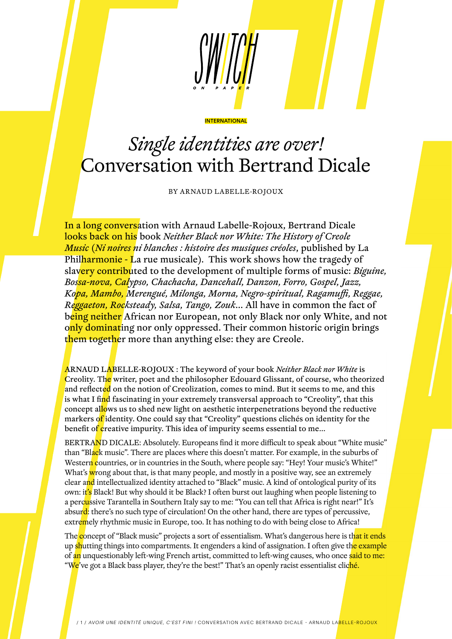

## *Single identities are over!* Conversation with Bertrand Dicale

**INTERNATIONAL** 

BY ARNAUD LABELLE-ROJOUX

In a long conversation with Arnaud Labelle-Rojoux, Bertrand Dicale looks back on his book *Neither Black nor White: The History of Creole Music* (*Ni noires ni blanches : histoire des musiques créoles*, published by La Philharmonie - La rue musicale). This work shows how the tragedy of slavery contributed to the development of multiple forms of music: *Biguine, Bossa-nova, Calypso, Chachacha, Dancehall, Danzon, Forro, Gospel, Jazz, Kopa, Mambo, Merengué, Milonga, Morna, Negro-spiritual, Ragamuffi, Reggae, Reggaeton, Rocksteady, Salsa, Tango, Zouk*… All have in common the fact of being neither African nor European, not only Black nor only White, and not only dominating nor only oppressed. Their common historic origin brings them together more than anything else: they are Creole.

ARNAUD LABELLE-ROJOUX : The keyword of your book *Neither Black nor White* is Creolity. The writer, poet and the philosopher Edouard Glissant, of course, who theorized and reflected on the notion of Creolization, comes to mind. But it seems to me, and this is what I find fascinating in your extremely transversal approach to "Creolity", that this concept allows us to shed new light on aesthetic interpenetrations beyond the reductive markers of identity. One could say that "Creolity" questions clichés on identity for the benefit of creative impurity. This idea of impurity seems essential to me...

BERTRAND DICALE: Absolutely. Europeans find it more difficult to speak about "White music" than "Black music". There are places where this doesn't matter. For example, in the suburbs of Western countries, or in countries in the South, where people say: "Hey! Your music's White!" What's wrong about that, is that many people, and mostly in a positive way, see an extremely clear and intellectualized identity attached to "Black" music. A kind of ontological purity of its own: it's Black! But why should it be Black? I often burst out laughing when people listening to a perc<mark>u</mark>ssive Tarantella in Southern Italy say to me: "You can tell that Africa is right near!" It's absurd: there's no such type of circulation! On the other hand, there are types of percussive, extremely rhythmic music in Europe, too. It has nothing to do with being close to Africa!

The concept of "Black music" projects a sort of essentialism. What's dangerous here is that it ends up shutting things into compartments. It engenders a kind of assignation. I often give the example of an unquestionably left-wing French artist, committed to left-wing causes, who once said to me: "We've got a Black bass player, they're the best!" That's an openly racist essentialist cliché.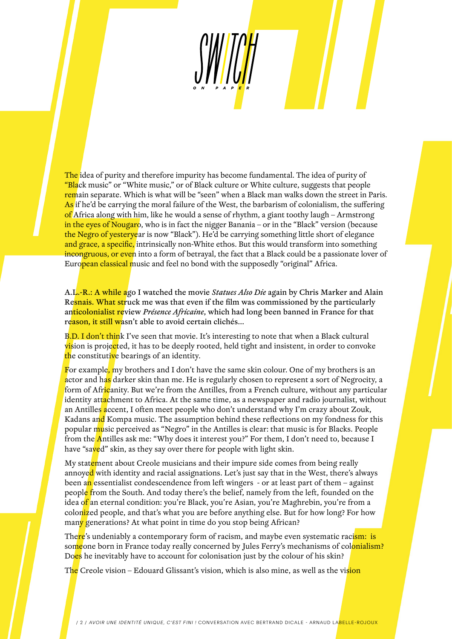The idea of purity and therefore impurity has become fundamental. The idea of purity of **"Black music" or "White music," or of Black culture or White culture, suggests that people** remain separate. Which is what will be "seen" when a Black man walks down the street in Paris. As if he'd be carrying the moral failure of the West, the barbarism of colonialism, the suffering of Africa along with him, like he would a sense of rhythm, a giant toothy laugh – Armstrong in the eyes of Nougaro, who is in fact the nigger Banania – or in the "Black" version (because the Negro of yesteryear is now "Black"). He'd be carrying something little short of elegance and grace, a specific, intrinsically non-White ethos. But this would transform into something incongruous, or even into a form of betrayal, the fact that a Black could be a passionate lover of European classical music and feel no bond with the supposedly "original" Africa.

A.L.-R.: A while ago I watched the movie *Statues Also Die* again by Chris Marker and Alain Resnais. What struck me was that even if the film was commissioned by the particularly anticolonialist review *Présence Africaine*, which had long been banned in France for that reason, it still wasn't able to avoid certain clichés...

B.D. I don't think I've seen that movie. It's interesting to note that when a Black cultural vision is projected, it has to be deeply rooted, held tight and insistent, in order to convoke the constitutive bearings of an identity.

For example, my brothers and I don't have the same skin colour. One of my brothers is an actor and has darker skin than me. He is regularly chosen to represent a sort of Negrocity, a form of Africanity. But we're from the Antilles, from a French culture, without any particular identity attachment to Africa. At the same time, as a newspaper and radio journalist, without an Antilles accent, I often meet people who don't understand why I'm crazy about Zouk, Kadans and Kompa music. The assumption behind these reflections on my fondness for this popular music perceived as "Negro" in the Antilles is clear: that music is for Blacks. People from the Antilles ask me: "Why does it interest you?" For them, I don't need to, because I have "saved" skin, as they say over there for people with light skin.

My statement about Creole musicians and their impure side comes from being really annoyed with identity and racial assignations. Let's just say that in the West, there's always been an essentialist condescendence from left wingers - or at least part of them – against people from the South. And today there's the belief, namely from the left, founded on the idea o<mark>f</mark> an eternal condition: you're Black, you're Asian, you're Maghrebin, you're from a colonized people, and that's what you are before anything else. But for how long? For how many generations? At what point in time do you stop being African?

The<mark>re</mark>'s undeniably a contemporary form of racism, and maybe even systematic raci<mark>sm: is</mark> someone born in France today really concerned by Jules Ferry's mechanisms of colonialism? Does he inevitably have to account for colonisation just by the colour of his skin?

T<mark>he</mark> Creole vision – Edouard Glissant's vision, which is also mine, as well as the vi<mark>sion</mark>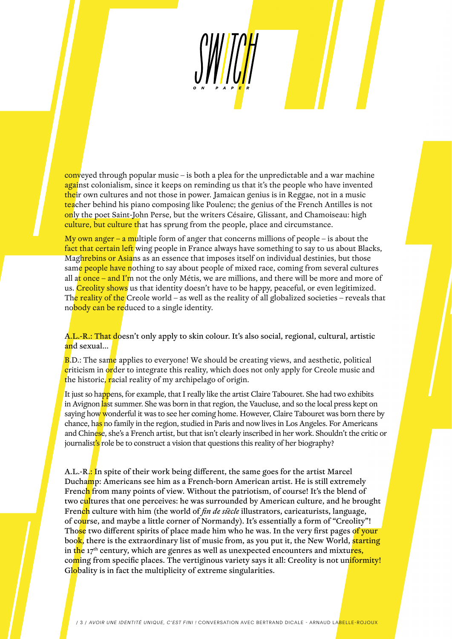conveyed through popular music – is both a plea for the unpredictable and a war machine against colonialism, since it keeps on reminding us that it's the people who have invented their own cultures and not those in power. Jamaican genius is in Reggae, not in a music teacher behind his piano composing like Poulenc; the genius of the French Antilles is not only the poet Saint-John Perse, but the writers Césaire, Glissant, and Chamoiseau: high culture, but culture that has sprung from the people, place and circumstance.

My own anger – a multiple form of anger that concerns millions of people – is about the fact that certain left wing people in France always have something to say to us about Blacks, Maghrebins or Asians as an essence that imposes itself on individual destinies, but those same people have nothing to say about people of mixed race, coming from several cultures all at once – and I'm not the only Métis, we are millions, and there will be more and more of us. Creolity shows us that identity doesn't have to be happy, peaceful, or even legitimized. The reality of the Creole world – as well as the reality of all globalized societies – reveals that nobody can be reduced to a single identity.

A.L.-R.: That doesn't only apply to skin colour. It's also social, regional, cultural, artistic and sexual...

B.D.: The same applies to everyone! We should be creating views, and aesthetic, political criticism in order to integrate this reality, which does not only apply for Creole music and the historic, racial reality of my archipelago of origin.

It just so happens, for example, that I really like the artist Claire Tabouret. She had two exhibits in Avignon last summer. She was born in that region, the Vaucluse, and so the local press kept on saying how wonderful it was to see her coming home. However, Claire Tabouret was born there by chance, has no family in the region, studied in Paris and now lives in Los Angeles. For Americans and Chinese, she's a French artist, but that isn't clearly inscribed in her work. Shouldn't the critic or journalist's role be to construct a vision that questions this reality of her biography?

A.L.-R.: In spite of their work being different, the same goes for the artist Marcel Duchamp: Americans see him as a French-born American artist. He is still extremely French from many points of view. Without the patriotism, of course! It's the blend of two c<mark>ul</mark>tures that one perceives: he was surrounded by American culture, and he brought French culture with him (the world of *fin de siècle* illustrators, caricaturists, language, of course, and maybe a little corner of Normandy). It's essentially a form of "Creolity"! Those two different spirits of place made him who he was. In the very first pages of your book, there is the extraordinary list of music from, as you put it, the New World, starting in the  $17<sup>th</sup>$  century, which are genres as well as unexpected encounters and mixtures, coming from specific places. The vertiginous variety says it all: Creolity is not uniformity! Globality is in fact the multiplicity of extreme singularities.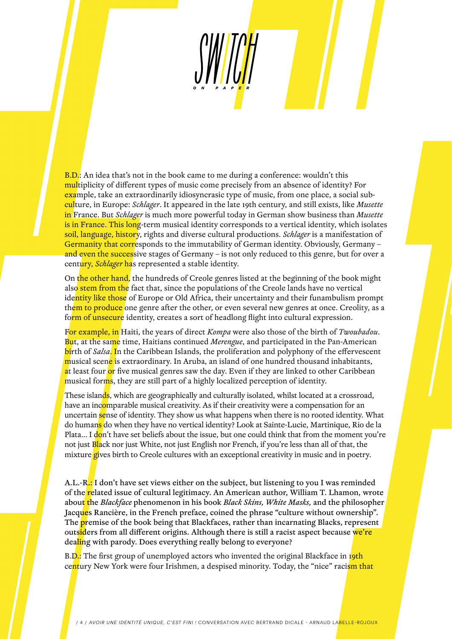**B.D.:** An idea that's not in the book came to me during a conference: wouldn't this multiplicity of different types of music come precisely from an absence of identity? For example, take an extraordinarily idiosyncrasic type of music, from one place, a social subculture, in Europe: *Schlager*. It appeared in the late 19th century, and still exists, like *Musette* in France. But *Schlager* is much more powerful today in German show business than *Musette* is in France. This long-term musical identity corresponds to a vertical identity, which isolates soil, language, history, rights and diverse cultural productions. *Schlager* is a manifestation of Germanity that corresponds to the immutability of German identity. Obviously, Germany and even the successive stages of Germany – is not only reduced to this genre, but for over a century, *Schlager* has represented a stable identity.

On the other hand, the hundreds of Creole genres listed at the beginning of the book might also stem from the fact that, since the populations of the Creole lands have no vertical identity like those of Europe or Old Africa, their uncertainty and their funambulism prompt them to produce one genre after the other, or even several new genres at once. Creolity, as a form of unsecure identity, creates a sort of headlong flight into cultural expression.

For example, in Haiti, the years of direct *Kompa* were also those of the birth of *Twoubadou*. But, at the same time, Haitians continued *Merengue*, and participated in the Pan-American birth of *Salsa*. In the Caribbean Islands, the proliferation and polyphony of the effervescent musical scene is extraordinary. In Aruba, an island of one hundred thousand inhabitants, at least four or five musical genres saw the day. Even if they are linked to other Caribbean musical forms, they are still part of a highly localized perception of identity.

These islands, which are geographically and culturally isolated, whilst located at a crossroad, have an incomparable musical creativity. As if their creativity were a compensation for an uncertain sense of identity. They show us what happens when there is no rooted identity. What do humans do when they have no vertical identity? Look at Sainte-Lucie, Martinique, Rio de la Plata... I don't have set beliefs about the issue, but one could think that from the moment you're not just Black nor just White, not just English nor French, if you're less than all of that, the mixture gives birth to Creole cultures with an exceptional creativity in music and in poetry.

A.L.-R.: I don't have set views either on the subject, but listening to you I was reminded of the related issue of cultural legitimacy. An American author, William T. Lhamon, wrote about the *Blackface* phenomenon in his book *Black Skins, White Masks,* and the philosopher Jacques Rancière, in the French preface, coined the phrase "culture without ownership". The **pr**emise of the book being that Blackfaces, rather than incarnating Blacks, represent outsiders from all different origins. Although there is still a racist aspect because we're dealing with parody. Does everything really belong to everyone?

B.D.: The first group of unemployed actors who invented the original Blackface in 19th century New York were four Irishmen, a despised minority. Today, the "nice" racism that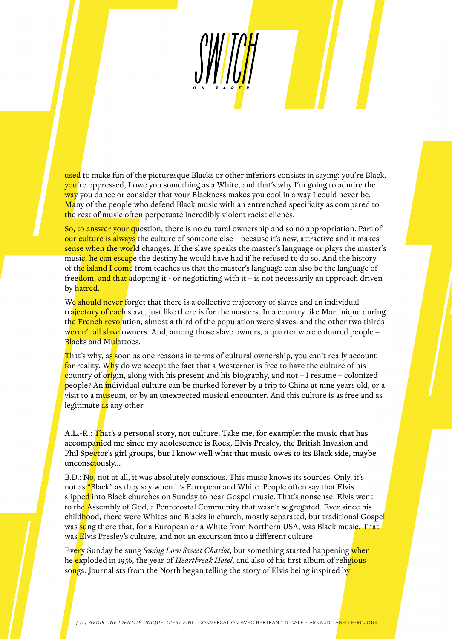used to make fun of the picturesque Blacks or other inferiors consists in saying: you're Black, you're oppressed, I owe you something as a White, and that's why I'm going to admire the way you dance or consider that your Blackness makes you cool in a way I could never be. Many of the people who defend Black music with an entrenched specificity as compared to the rest of music often perpetuate incredibly violent racist clichés.

So, to answer your question, there is no cultural ownership and so no appropriation. Part of our culture is always the culture of someone else – because it's new, attractive and it makes sense when the world changes. If the slave speaks the master's language or plays the master's music, he can escape the destiny he would have had if he refused to do so. And the history of the island I come from teaches us that the master's language can also be the language of freedom, and that adopting it - or negotiating with it – is not necessarily an approach driven by hatred.

We should never forget that there is a collective trajectory of slaves and an individual trajectory of each slave, just like there is for the masters. In a country like Martinique during the French revolution, almost a third of the population were slaves, and the other two thirds weren't all slave owners. And, among those slave owners, a quarter were coloured people – Blacks and Mulattoes.

That's why, as soon as one reasons in terms of cultural ownership, you can't really account for reality. Why do we accept the fact that a Westerner is free to have the culture of his country of origin, along with his present and his biography, and not  $-I$  resume – colonized people? An individual culture can be marked forever by a trip to China at nine years old, or a visit to a museum, or by an unexpected musical encounter. And this culture is as free and as legitimate as any other.

A.L.-R.: That's a personal story, not culture. Take me, for example: the music that has accompanied me since my adolescence is Rock, Elvis Presley, the British Invasion and Phil Spector's girl groups, but I know well what that music owes to its Black side, maybe unconsciously...

B.D.: No, not at all, it was absolutely conscious. This music knows its sources. Only, it's not as "Black" as they say when it's European and White. People often say that Elvis slipped into Black churches on Sunday to hear Gospel music. That's nonsense. Elvis went to the Assembly of God, a Pentecostal Community that wasn't segregated. Ever since his childhood, there were Whites and Blacks in church, mostly separated, but traditional Gospel was sung there that, for a European or a White from Northern USA, was Black music. That was Elvis Presley's culture, and not an excursion into a different culture.

Every Sunday he sung *Swing Low Sweet Chariot*, but something started happening when he exploded in 1956, the year of *Heartbreak Hotel*, and also of his first album of religious songs. Journalists from the North began telling the story of Elvis being inspired by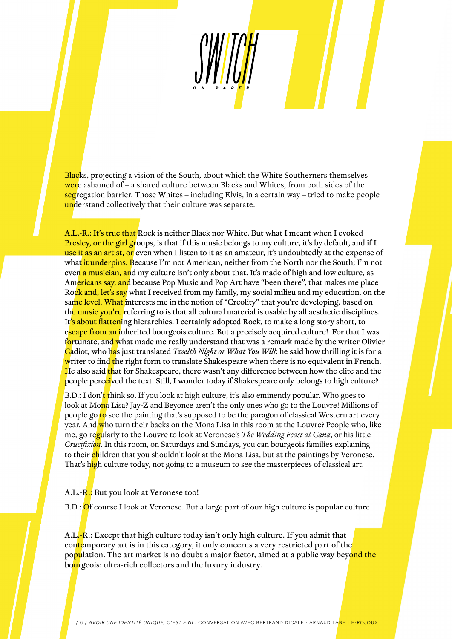Blacks, projecting a vision of the South, about which the White Southerners themselves were ashamed of – a shared culture between Blacks and Whites, from both sides of the segregation barrier. Those Whites – including Elvis, in a certain way – tried to make people understand collectively that their culture was separate.

A.L.-R.: It's true that Rock is neither Black nor White. But what I meant when I evoked Presley, or the girl groups, is that if this music belongs to my culture, it's by default, and if I use it as an artist, or even when I listen to it as an amateur, it's undoubtedly at the expense of what it underpins. Because I'm not American, neither from the North nor the South; I'm not even a musician, and my culture isn't only about that. It's made of high and low culture, as Americans say, and because Pop Music and Pop Art have "been there", that makes me place Rock and, let's say what I received from my family, my social milieu and my education, on the same level. What interests me in the notion of "Creolity" that you're developing, based on the music you're referring to is that all cultural material is usable by all aesthetic disciplines. It's about flattening hierarchies. I certainly adopted Rock, to make a long story short, to escape from an inherited bourgeois culture. But a precisely acquired culture! For that I was fortunate, and what made me really understand that was a remark made by the writer Olivier Cadiot, who has just translated *Twelth Night or What You Will*: he said how thrilling it is for a writer to find the right form to translate Shakespeare when there is no equivalent in French. He also said that for Shakespeare, there wasn't any difference between how the elite and the people perceived the text. Still, I wonder today if Shakespeare only belongs to high culture?

B.D.: I don't think so. If you look at high culture, it's also eminently popular. Who goes to look at Mona Lisa? Jay-Z and Beyonce aren't the only ones who go to the Louvre! Millions of people go to see the painting that's supposed to be the paragon of classical Western art every year. And who turn their backs on the Mona Lisa in this room at the Louvre? People who, like me, go regularly to the Louvre to look at Veronese's *The Wedding Feast at Cana*, or his little *Crucifixion*. In this room, on Saturdays and Sundays, you can bourgeois families explaining to their children that you shouldn't look at the Mona Lisa, but at the paintings by Veronese. That's high culture today, not going to a museum to see the masterpieces of classical art.

A.L.-R.: But you look at Veronese too!

B.D.: Of course I look at Veronese. But a large part of our high culture is popular culture.

A.L.-R.: Except that high culture today isn't only high culture. If you admit that contemporary art is in this category, it only concerns a very restricted part of the population. The art market is no doubt a major factor, aimed at a public way beyond the bourgeois: ultra-rich collectors and the luxury industry.

/ 6 / AVOIR UNE IDENTITÉ UNIQUE, C'EST FINI ! CONVERSATION AVEC BERTRAND DICALE - ARNAUD LABELLE-ROJOUX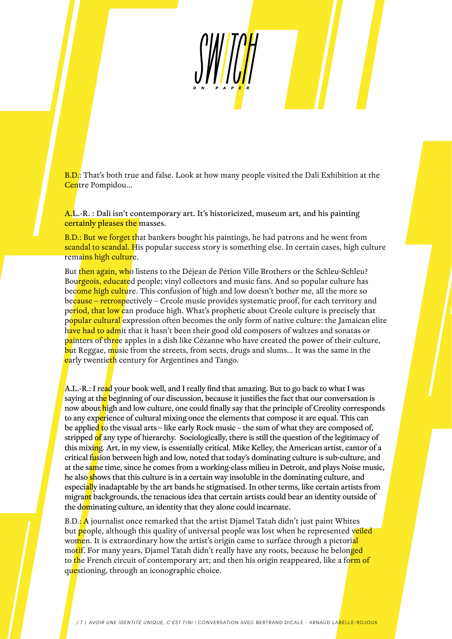B.D.: That's both true and false. Look at how many people visited the Dali Exhibition at the Centre Pompidou...

A.L.-R. : Dalí isn't contemporary art. It's historicized, museum art, and his painting certainly pleases the masses.

B.D.: But we forget that bankers bought his paintings, he had patrons and he went from scandal to scandal. His popular success story is something else. In certain cases, high culture remains high culture.

But then again, who listens to the Déjean de Pétion Ville Brothers or the Schleu-Schleu? Bourgeois, educated people; vinyl collectors and music fans. And so popular culture has become high culture. This confusion of high and low doesn't bother me, all the more so because – retrospectively – Creole music provides systematic proof, for each territory and pe<mark>riod, that low c</mark>an produce high. What's prophetic about Creole culture is precisely that popular cultural expression often becomes the only form of native culture: the Jamaican elite have had to admit that it hasn't been their good old composers of waltzes and sonatas or painters of three apples in a dish like Cézanne who have created the power of their culture, but Reggae, music from the streets, from sects, drugs and slums... It was the same in the early twentieth century for Argentines and Tango.

A.L.-R.: I read your book well, and I really find that amazing. But to go back to what I was saying at the beginning of our discussion, because it justifies the fact that our conversation is now about high and low culture, one could finally say that the principle of Creolity corresponds to any experience of cultural mixing once the elements that compose it are equal. This can be applied to the visual arts – like early Rock music – the sum of what they are composed of, stripped of any type of hierarchy. Sociologically, there is still the question of the legitimacy of this mixing. Art, in my view, is essentially critical. Mike Kelley, the American artist, cantor of a critical fusion between high and low, noted that today's dominating culture is sub-culture, and at the same time, since he comes from a working-class milieu in Detroit, and plays Noise music, he also shows that this culture is in a certain way insoluble in the dominating culture, and especially inadaptable by the art bands he stigmatised. In other terms, like certain artists from migrant backgrounds, the tenacious idea that certain artists could bear an identity outside of the dominating culture, an identity that they alone could incarnate.

B.D.: A journalist once remarked that the artist Djamel Tatah didn't just paint Whites but people, although this quality of universal people was lost when he represented veiled women. It is extraordinary how the artist's origin came to surface through a pictorial motif. For many years, Djamel Tatah didn't really have any roots, because he belonged to the French circuit of contemporary art; and then his origin reappeared, like a form of questioning, through an iconographic choice.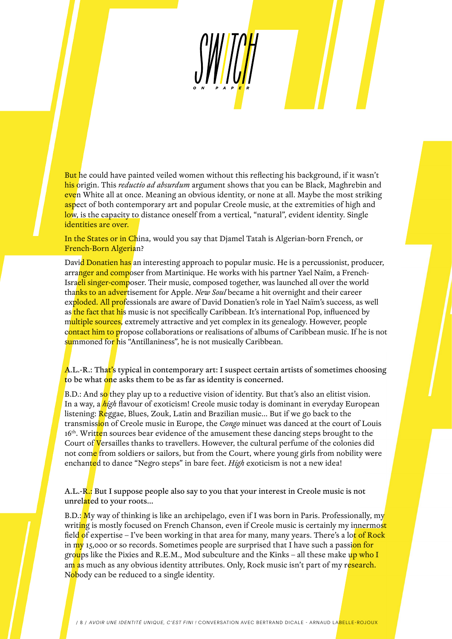But he could have painted veiled women without this reflecting his background, if it wasn't his origin. This *reductio ad absurdum* argument shows that you can be Black, Maghrebin and even White all at once. Meaning an obvious identity, or none at all. Maybe the most striking aspect of both contemporary art and popular Creole music, at the extremities of high and low, is the capacity to distance oneself from a vertical, "natural", evident identity. Single identities are over.

In the States or in China, would you say that Djamel Tatah is Algerian-born French, or French-Born Algerian?

David Donatien has an interesting approach to popular music. He is a percussionist, producer, arranger and composer from Martinique. He works with his partner Yael Naïm, a French-Israeli singer-composer. Their music, composed together, was launched all over the world thanks to an advertisement for Apple. *New Soul* became a hit overnight and their career exploded. All professionals are aware of David Donatien's role in Yael Naïm's success, as well as the fact that his music is not specifically Caribbean. It's international Pop, influenced by multiple sources, extremely attractive and yet complex in its genealogy. However, people contact him to propose collaborations or realisations of albums of Caribbean music. If he is not summoned for his "Antillaniness", he is not musically Caribbean.

 $A.L.-R.: That's typical in contemporary art: I suspect certain artists of sometimes choosing$ to be what one asks them to be as far as identity is concerned.

B.D.: And so they play up to a reductive vision of identity. But that's also an elitist vision. In a way, a *high* flavour of exoticism! Creole music today is dominant in everyday European listening: Reggae, Blues, Zouk, Latin and Brazilian music… But if we go back to the transmission of Creole music in Europe, the *Congo* minuet was danced at the court of Louis 16<sup>th</sup>. Written sources bear evidence of the amusement these dancing steps brought to the Court of Versailles thanks to travellers. However, the cultural perfume of the colonies did not come from soldiers or sailors, but from the Court, where young girls from nobility were enchanted to dance "Negro steps" in bare feet. *High* exoticism is not a new idea!

A.L.-R.: But I suppose people also say to you that your interest in Creole music is not unrelated to your roots...

B.D.: My way of thinking is like an archipelago, even if I was born in Paris. Professionally, my writing is mostly focused on French Chanson, even if Creole music is certainly my innermost field of expertise – I've been working in that area for many, many years. There's a lo<mark>t of Rock</mark> in my 15,000 or so records. Sometimes people are surprised that I have such a passion for groups like the Pixies and R.E.M., Mod subculture and the Kinks – all these make up who I am as much as any obvious identity attributes. Only, Rock music isn't part of my research. Nobody can be reduced to a single identity.